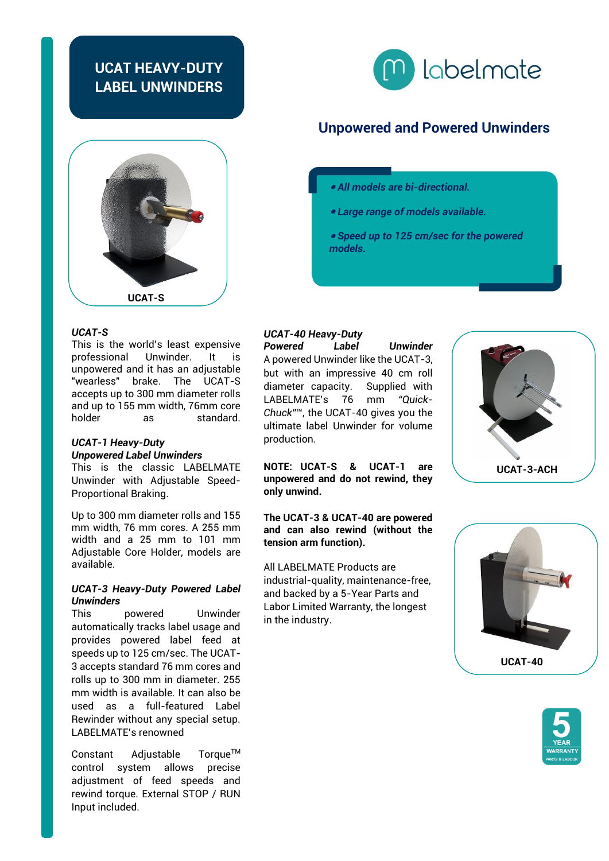## **UCAT HEAVY-DUTY LABEL UNWINDERS**





#### *UCAT-S*

This is the world's least expensive<br>professional Unwinder It is professional Unwinder. It is unpowered and it has an adjustable "wearless" brake. The UCAT-S accepts up to 300 mm diameter rolls and up to 155 mm width, 76mm core as standard.

#### *UCAT-1 Heavy-Duty Unpowered Label Unwinders*

This is the classic LABELMATE Unwinder with Adjustable Speed-Proportional Braking.

Up to 300 mm diameter rolls and 155 mm width, 76 mm cores. A 255 mm width and a 25 mm to 101 mm Adjustable Core Holder, models are available.

#### *UCAT-3 Heavy-Duty Powered Label Unwinders*

This powered Unwinder automatically tracks label usage and provides powered label feed at speeds up to 125 cm/sec. The UCAT-3 accepts standard 76 mm cores and rolls up to 300 mm in diameter. 255 mm width is available. It can also be used as a full-featured Label Rewinder without any special setup. LABELMATE's renowned

Constant Adjustable Torque™ control system allows precise adjustment of feed speeds and rewind torque. External STOP / RUN Input included.

## **Unpowered and Powered Unwinders**

- *All models are bi-directional.*
- *Large range of models available.*
- *Speed up to 125 cm/sec for the powered models.*

# *UCAT-40 Heavy-Duty*

*Powered Label Unwinder* A powered Unwinder like the UCAT-3, but with an impressive 40 cm roll diameter capacity. Supplied with LABELMATE's 76 mm *"Quick-Chuck"*™, the UCAT-40 gives you the ultimate label Unwinder for volume production.

**NOTE: UCAT-S & UCAT-1 are unpowered and do not rewind, they only unwind.** 

**The UCAT-3 & UCAT-40 are powered and can also rewind (without the tension arm function).**

All LABELMATE Products are industrial-quality, maintenance-free, and backed by a 5-Year Parts and Labor Limited Warranty, the longest in the industry.





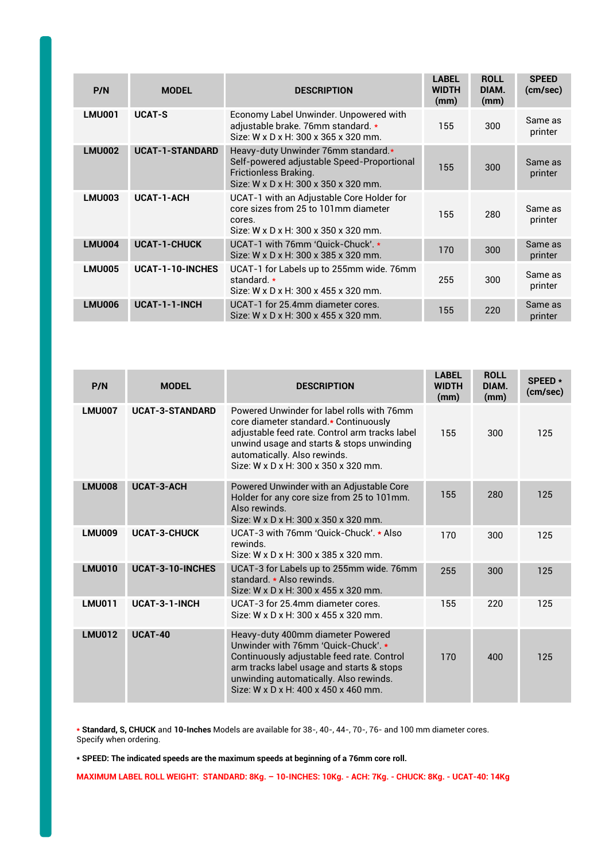| P/N           | <b>MODEL</b>           | <b>DESCRIPTION</b>                                                                                                                                 | <b>LABEL</b><br><b>WIDTH</b><br>(mm) | <b>ROLL</b><br>DIAM.<br>(mm) | <b>SPEED</b><br>(cm/sec) |
|---------------|------------------------|----------------------------------------------------------------------------------------------------------------------------------------------------|--------------------------------------|------------------------------|--------------------------|
| <b>LMU001</b> | <b>UCAT-S</b>          | Economy Label Unwinder. Unpowered with<br>adjustable brake. 76mm standard. *<br>Size: W x D x H: 300 x 365 x 320 mm.                               | 155                                  | 300                          | Same as<br>printer       |
| <b>LMU002</b> | <b>UCAT-1-STANDARD</b> | Heavy-duty Unwinder 76mm standard.*<br>Self-powered adjustable Speed-Proportional<br>Frictionless Braking.<br>Size: W x D x H: 300 x 350 x 320 mm. | 155                                  | 300                          | Same as<br>printer       |
| LMU003        | <b>UCAT-1-ACH</b>      | UCAT-1 with an Adjustable Core Holder for<br>core sizes from 25 to 101mm diameter<br>cores.<br>Size: W x D x H: 300 x 350 x 320 mm.                | 155                                  | 280                          | Same as<br>printer       |
| <b>LMU004</b> | <b>UCAT-1-CHUCK</b>    | UCAT-1 with 76mm 'Quick-Chuck'. *<br>Size: W x D x H: 300 x 385 x 320 mm.                                                                          | 170                                  | 300                          | Same as<br>printer       |
| <b>LMU005</b> | UCAT-1-10-INCHES       | UCAT-1 for Labels up to 255mm wide. 76mm<br>standard. *<br>Size: W x D x H: 300 x 455 x 320 mm.                                                    | 255                                  | 300                          | Same as<br>printer       |
| <b>LMU006</b> | UCAT-1-1-INCH          | UCAT-1 for 25.4mm diameter cores.<br>Size: W x D x H: 300 x 455 x 320 mm.                                                                          | 155                                  | 220                          | Same as<br>printer       |

| P/N           | <b>MODEL</b>            | <b>DESCRIPTION</b>                                                                                                                                                                                                                                                 | <b>LABEL</b><br><b>WIDTH</b><br>(mm) | <b>ROLL</b><br>DIAM.<br>(mm) | SPEED *<br>(cm/sec) |
|---------------|-------------------------|--------------------------------------------------------------------------------------------------------------------------------------------------------------------------------------------------------------------------------------------------------------------|--------------------------------------|------------------------------|---------------------|
| <b>LMU007</b> | <b>UCAT-3-STANDARD</b>  | Powered Unwinder for label rolls with 76mm<br>core diameter standard.* Continuously<br>adjustable feed rate. Control arm tracks label<br>unwind usage and starts & stops unwinding<br>automatically. Also rewinds.<br>Size: W x D x H: 300 x 350 x 320 mm.         | 155                                  | 300                          | 125                 |
| <b>LMU008</b> | <b>UCAT-3-ACH</b>       | Powered Unwinder with an Adjustable Core<br>Holder for any core size from 25 to 101mm.<br>Also rewinds.<br>Size: W x D x H: 300 x 350 x 320 mm.                                                                                                                    | 155                                  | 280                          | 125                 |
| <b>LMU009</b> | <b>UCAT-3-CHUCK</b>     | UCAT-3 with 76mm 'Quick-Chuck', * Also<br>rewinds.<br>Size: W x D x H: 300 x 385 x 320 mm.                                                                                                                                                                         | 170                                  | 300                          | 125                 |
| <b>LMU010</b> | <b>UCAT-3-10-INCHES</b> | UCAT-3 for Labels up to 255mm wide. 76mm<br>standard * Also rewinds.<br>Size: W x D x H: 300 x 455 x 320 mm.                                                                                                                                                       | 255                                  | 300                          | 125                 |
| <b>LMU011</b> | UCAT-3-1-INCH           | UCAT-3 for 25.4mm diameter cores.<br>Size: W x D x H: 300 x 455 x 320 mm.                                                                                                                                                                                          | 155                                  | 220                          | 125                 |
| <b>LMU012</b> | <b>UCAT-40</b>          | Heavy-duty 400mm diameter Powered<br>Unwinder with 76mm 'Quick-Chuck'. *<br>Continuously adjustable feed rate. Control<br>arm tracks label usage and starts & stops<br>unwinding automatically. Also rewinds.<br>Size: $W \times D \times H$ : 400 x 450 x 460 mm. | 170                                  | 400                          | 125                 |

**\* Standard, S, CHUCK** and **10-Inches** Models are available for 38-, 40-, 44-, 70-, 76- and 100 mm diameter cores. Specify when ordering.

**\* SPEED: The indicated speeds are the maximum speeds at beginning of a 76mm core roll.**

**MAXIMUM LABEL ROLL WEIGHT: STANDARD: 8Kg. – 10-INCHES: 10Kg. - ACH: 7Kg. - CHUCK: 8Kg. - UCAT-40: 14Kg**